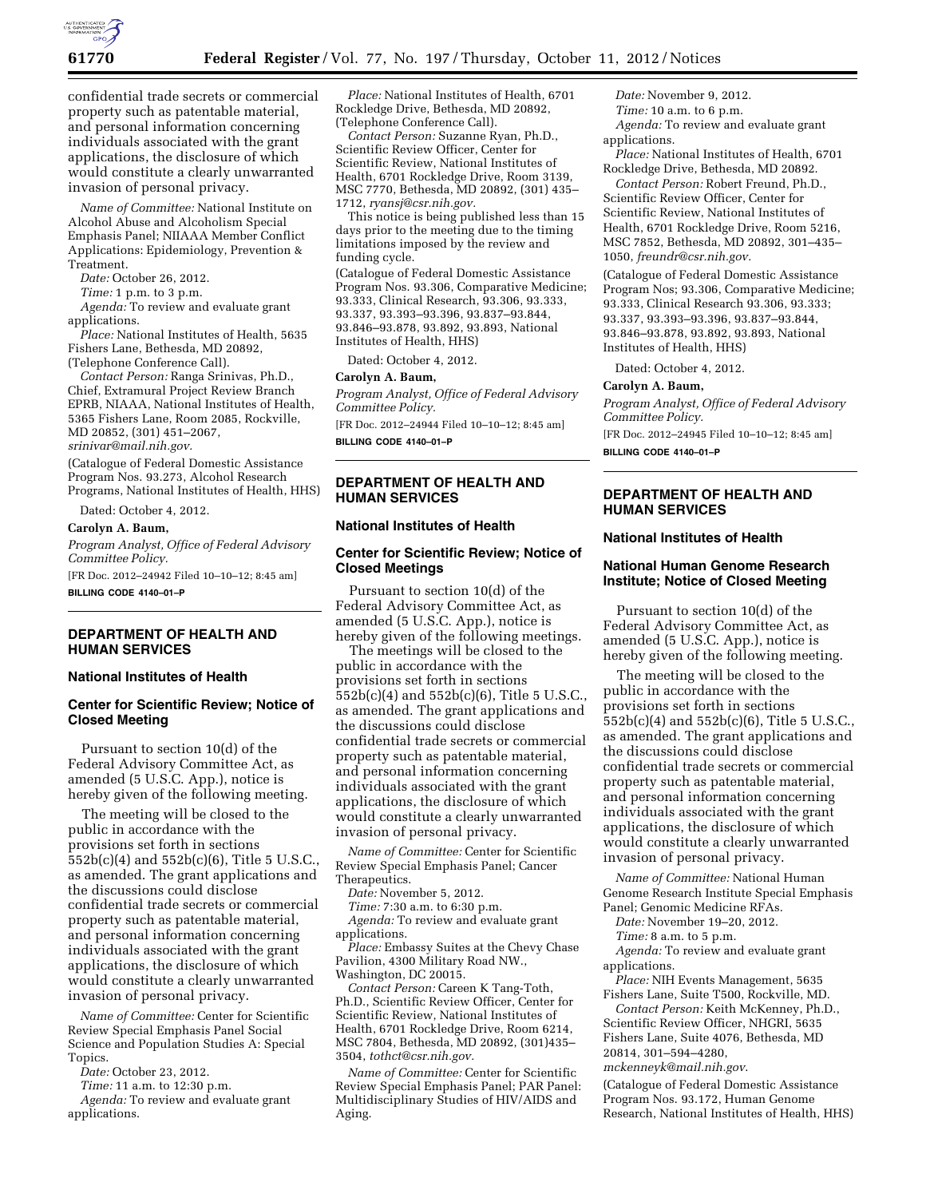

confidential trade secrets or commercial property such as patentable material, and personal information concerning individuals associated with the grant applications, the disclosure of which would constitute a clearly unwarranted invasion of personal privacy.

*Name of Committee:* National Institute on Alcohol Abuse and Alcoholism Special Emphasis Panel; NIIAAA Member Conflict Applications: Epidemiology, Prevention & Treatment.

*Date:* October 26, 2012.

*Time:* 1 p.m. to 3 p.m.

*Agenda:* To review and evaluate grant applications.

*Place:* National Institutes of Health, 5635 Fishers Lane, Bethesda, MD 20892, (Telephone Conference Call).

*Contact Person:* Ranga Srinivas, Ph.D., Chief, Extramural Project Review Branch EPRB, NIAAA, National Institutes of Health, 5365 Fishers Lane, Room 2085, Rockville, MD 20852, (301) 451–2067,

*[srinivar@mail.nih.gov.](mailto:srinivar@mail.nih.gov)* 

(Catalogue of Federal Domestic Assistance Program Nos. 93.273, Alcohol Research Programs, National Institutes of Health, HHS)

Dated: October 4, 2012.

**Carolyn A. Baum,** 

*Program Analyst, Office of Federal Advisory Committee Policy.* 

[FR Doc. 2012–24942 Filed 10–10–12; 8:45 am] **BILLING CODE 4140–01–P** 

# **DEPARTMENT OF HEALTH AND HUMAN SERVICES**

#### **National Institutes of Health**

# **Center for Scientific Review; Notice of Closed Meeting**

Pursuant to section 10(d) of the Federal Advisory Committee Act, as amended (5 U.S.C. App.), notice is hereby given of the following meeting.

The meeting will be closed to the public in accordance with the provisions set forth in sections 552b(c)(4) and 552b(c)(6), Title 5 U.S.C., as amended. The grant applications and the discussions could disclose confidential trade secrets or commercial property such as patentable material, and personal information concerning individuals associated with the grant applications, the disclosure of which would constitute a clearly unwarranted invasion of personal privacy.

*Name of Committee:* Center for Scientific Review Special Emphasis Panel Social Science and Population Studies A: Special Topics.

*Date:* October 23, 2012.

*Time:* 11 a.m. to 12:30 p.m.

*Agenda:* To review and evaluate grant applications.

*Place:* National Institutes of Health, 6701 Rockledge Drive, Bethesda, MD 20892, (Telephone Conference Call).

*Contact Person:* Suzanne Ryan, Ph.D., Scientific Review Officer, Center for Scientific Review, National Institutes of Health, 6701 Rockledge Drive, Room 3139, MSC 7770, Bethesda, MD 20892, (301) 435– 1712, *[ryansj@csr.nih.gov.](mailto:ryansj@csr.nih.gov)* 

This notice is being published less than 15 days prior to the meeting due to the timing limitations imposed by the review and funding cycle.

(Catalogue of Federal Domestic Assistance Program Nos. 93.306, Comparative Medicine; 93.333, Clinical Research, 93.306, 93.333, 93.337, 93.393–93.396, 93.837–93.844, 93.846–93.878, 93.892, 93.893, National Institutes of Health, HHS)

Dated: October 4, 2012.

#### **Carolyn A. Baum,**

*Program Analyst, Office of Federal Advisory Committee Policy.* 

[FR Doc. 2012–24944 Filed 10–10–12; 8:45 am] **BILLING CODE 4140–01–P** 

### **DEPARTMENT OF HEALTH AND HUMAN SERVICES**

### **National Institutes of Health**

## **Center for Scientific Review; Notice of Closed Meetings**

Pursuant to section 10(d) of the Federal Advisory Committee Act, as amended (5 U.S.C. App.), notice is hereby given of the following meetings.

The meetings will be closed to the public in accordance with the provisions set forth in sections 552b(c)(4) and 552b(c)(6), Title 5 U.S.C., as amended. The grant applications and the discussions could disclose confidential trade secrets or commercial property such as patentable material, and personal information concerning individuals associated with the grant applications, the disclosure of which would constitute a clearly unwarranted invasion of personal privacy.

*Name of Committee:* Center for Scientific Review Special Emphasis Panel; Cancer Therapeutics.

*Date:* November 5, 2012.

*Time:* 7:30 a.m. to 6:30 p.m.

*Agenda:* To review and evaluate grant applications.

*Place:* Embassy Suites at the Chevy Chase Pavilion, 4300 Military Road NW., Washington, DC 20015.

*Contact Person:* Careen K Tang-Toth, Ph.D., Scientific Review Officer, Center for Scientific Review, National Institutes of Health, 6701 Rockledge Drive, Room 6214, MSC 7804, Bethesda, MD 20892, (301)435– 3504, *[tothct@csr.nih.gov.](mailto:tothct@csr.nih.gov)* 

*Name of Committee:* Center for Scientific Review Special Emphasis Panel; PAR Panel: Multidisciplinary Studies of HIV/AIDS and Aging.

*Date:* November 9, 2012. *Time:* 10 a.m. to 6 p.m. *Agenda:* To review and evaluate grant applications.

*Place:* National Institutes of Health, 6701 Rockledge Drive, Bethesda, MD 20892.

*Contact Person:* Robert Freund, Ph.D., Scientific Review Officer, Center for Scientific Review, National Institutes of Health, 6701 Rockledge Drive, Room 5216, MSC 7852, Bethesda, MD 20892, 301–435– 1050, *[freundr@csr.nih.gov.](mailto:freundr@csr.nih.gov)* 

(Catalogue of Federal Domestic Assistance Program Nos; 93.306, Comparative Medicine; 93.333, Clinical Research 93.306, 93.333; 93.337, 93.393–93.396, 93.837–93.844, 93.846–93.878, 93.892, 93.893, National Institutes of Health, HHS)

Dated: October 4, 2012.

#### **Carolyn A. Baum,**

*Program Analyst, Office of Federal Advisory Committee Policy.*  [FR Doc. 2012–24945 Filed 10–10–12; 8:45 am]

**BILLING CODE 4140–01–P** 

# **DEPARTMENT OF HEALTH AND HUMAN SERVICES**

#### **National Institutes of Health**

### **National Human Genome Research Institute; Notice of Closed Meeting**

Pursuant to section 10(d) of the Federal Advisory Committee Act, as amended (5 U.S.C. App.), notice is hereby given of the following meeting.

The meeting will be closed to the public in accordance with the provisions set forth in sections 552b(c)(4) and 552b(c)(6), Title 5 U.S.C., as amended. The grant applications and the discussions could disclose confidential trade secrets or commercial property such as patentable material, and personal information concerning individuals associated with the grant applications, the disclosure of which would constitute a clearly unwarranted invasion of personal privacy.

*Name of Committee:* National Human Genome Research Institute Special Emphasis Panel; Genomic Medicine RFAs.

*Date:* November 19–20, 2012.

*Time:* 8 a.m. to 5 p.m.

*Agenda:* To review and evaluate grant applications.

*Place:* NIH Events Management, 5635 Fishers Lane, Suite T500, Rockville, MD.

*Contact Person:* Keith McKenney, Ph.D., Scientific Review Officer, NHGRI, 5635 Fishers Lane, Suite 4076, Bethesda, MD 20814, 301–594–4280,

*[mckenneyk@mail.nih.gov](mailto:mckenneyk@mail.nih.gov)*.

(Catalogue of Federal Domestic Assistance Program Nos. 93.172, Human Genome Research, National Institutes of Health, HHS)